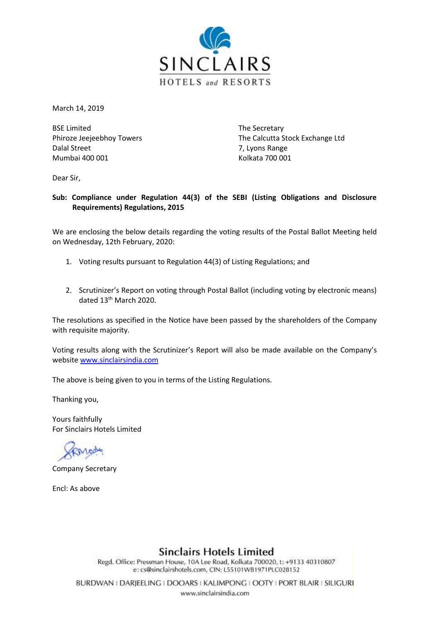

March 14, 2019

BSE Limited The Secretary Dalal Street 7, Lyons Range Mumbai 400 001 **Kolkata 700 001** 

Phiroze Jeejeebhoy Towers The Calcutta Stock Exchange Ltd

Dear Sir,

### **Sub: Compliance under Regulation 44(3) of the SEBI (Listing Obligations and Disclosure Requirements) Regulations, 2015**

We are enclosing the below details regarding the voting results of the Postal Ballot Meeting held on Wednesday, 12th February, 2020:

- 1. Voting results pursuant to Regulation 44(3) of Listing Regulations; and
- 2. Scrutinizer's Report on voting through Postal Ballot (including voting by electronic means) dated 13<sup>th</sup> March 2020.

The resolutions as specified in the Notice have been passed by the shareholders of the Company with requisite majority.

Voting results along with the Scrutinizer's Report will also be made available on the Company's websit[e www.sinclairsindia.com](http://www.sinclairsindia.com/)

The above is being given to you in terms of the Listing Regulations.

Thanking you,

Yours faithfully For Sinclairs Hotels Limited

Company Secretary

Encl: As above

**Sinclairs Hotels Limited** 

Regd. Office: Pressman House, 10A Lee Road, Kolkata 700020, t: +9133 40310807 e: cs@sinclairshotels.com, CIN: L55101WB1971PLC028152

BURDWAN | DARJEELING | DOOARS | KALIMPONG | OOTY | PORT BLAIR | SILIGURI www.sinclairsindia.com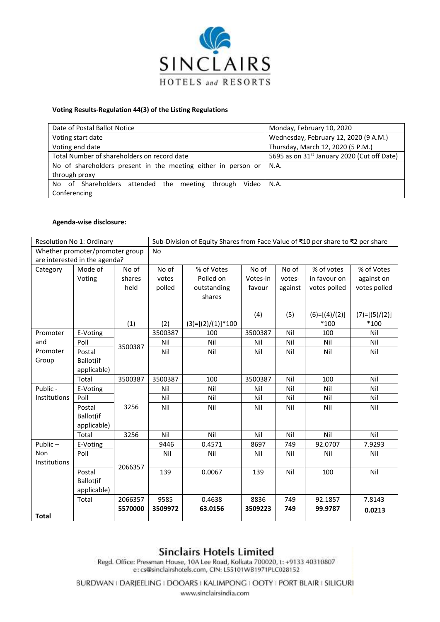

#### **Voting Results-Regulation 44(3) of the Listing Regulations**

| Date of Postal Ballot Notice                                  | Monday, February 10, 2020                               |  |  |
|---------------------------------------------------------------|---------------------------------------------------------|--|--|
| Voting start date                                             | Wednesday, February 12, 2020 (9 A.M.)                   |  |  |
| Voting end date                                               | Thursday, March 12, 2020 (5 P.M.)                       |  |  |
| Total Number of shareholders on record date                   | 5695 as on 31 <sup>st</sup> January 2020 (Cut off Date) |  |  |
| No of shareholders present in the meeting either in person or | N.A.                                                    |  |  |
| through proxy                                                 |                                                         |  |  |
| No of Shareholders attended the meeting<br>through<br>Video l | N.A.                                                    |  |  |
| Conferencing                                                  |                                                         |  |  |

#### **Agenda-wise disclosure:**

|                                 | Resolution No 1: Ordinary |         | Sub-Division of Equity Shares from Face Value of ₹10 per share to ₹2 per share |                     |          |         |                 |                 |
|---------------------------------|---------------------------|---------|--------------------------------------------------------------------------------|---------------------|----------|---------|-----------------|-----------------|
| Whether promoter/promoter group |                           |         | <b>No</b>                                                                      |                     |          |         |                 |                 |
| are interested in the agenda?   |                           |         |                                                                                |                     |          |         |                 |                 |
| Category                        | Mode of                   | No of   | No of                                                                          | % of Votes          | No of    | No of   | % of votes      | % of Votes      |
|                                 | Voting                    | shares  | votes                                                                          | Polled on           | Votes-in | votes-  | in favour on    | against on      |
|                                 |                           | held    | polled                                                                         | outstanding         | favour   | against | votes polled    | votes polled    |
|                                 |                           |         |                                                                                | shares              |          |         |                 |                 |
|                                 |                           |         |                                                                                |                     |          |         |                 |                 |
|                                 |                           |         |                                                                                |                     | (4)      | (5)     | $(6)=[(4)/(2)]$ | $(7)=[(5)/(2)]$ |
|                                 |                           | (1)     | (2)                                                                            | $(3)=[(2)/(1)]*100$ |          |         | $*100$          | $*100$          |
| Promoter                        | E-Voting                  |         | 3500387                                                                        | 100                 | 3500387  | Nil     | 100             | Nil             |
| and                             | Poll                      | 3500387 | Nil                                                                            | Nil                 | Nil      | Nil     | Nil             | Nil             |
| Promoter                        | Postal                    |         | Nil                                                                            | Nil                 | Nil      | Nil     | Nil             | Nil             |
| Group                           | Ballot(if                 |         |                                                                                |                     |          |         |                 |                 |
|                                 | applicable)               |         |                                                                                |                     |          |         |                 |                 |
|                                 | Total                     | 3500387 | 3500387                                                                        | 100                 | 3500387  | Nil     | 100             | Nil             |
| Public -                        | E-Voting                  |         | Nil                                                                            | Nil                 | Nil      | Nil     | Nil             | Nil             |
| Institutions                    | Poll                      |         | Nil                                                                            | Nil                 | Nil      | Nil     | Nil             | Nil             |
|                                 | Postal                    | 3256    | Nil                                                                            | Nil                 | Nil      | Nil     | Nil             | Nil             |
|                                 | Ballot(if                 |         |                                                                                |                     |          |         |                 |                 |
|                                 | applicable)               |         |                                                                                |                     |          |         |                 |                 |
|                                 | Total                     | 3256    | Nil                                                                            | Nil                 | Nil      | Nil     | Nil             | Nil             |
| Public $-$                      | E-Voting                  |         | 9446                                                                           | 0.4571              | 8697     | 749     | 92.0707         | 7.9293          |
| <b>Non</b>                      | Poll                      |         | Nil                                                                            | Nil                 | Nil      | Nil     | Nil             | Nil             |
| Institutions                    |                           | 2066357 |                                                                                |                     |          |         |                 |                 |
|                                 | Postal                    |         | 139                                                                            | 0.0067              | 139      | Nil     | 100             | Nil             |
|                                 | Ballot(if                 |         |                                                                                |                     |          |         |                 |                 |
|                                 | applicable)               |         |                                                                                |                     |          |         |                 |                 |
|                                 | Total                     | 2066357 | 9585                                                                           | 0.4638              | 8836     | 749     | 92.1857         | 7.8143          |
|                                 |                           | 5570000 | 3509972                                                                        | 63.0156             | 3509223  | 749     | 99.9787         | 0.0213          |
| <b>Total</b>                    |                           |         |                                                                                |                     |          |         |                 |                 |

## **Sinclairs Hotels Limited**

Regd. Office: Pressman House, 10A Lee Road, Kolkata 700020, t: +9133 40310807 e: cs@sinclairshotels.com, CIN: L55101WB1971PLC028152

BURDWAN I DARJEELING I DOOARS I KALIMPONG I OOTY I PORT BLAIR I SILIGURI

www.sinclairsindia.com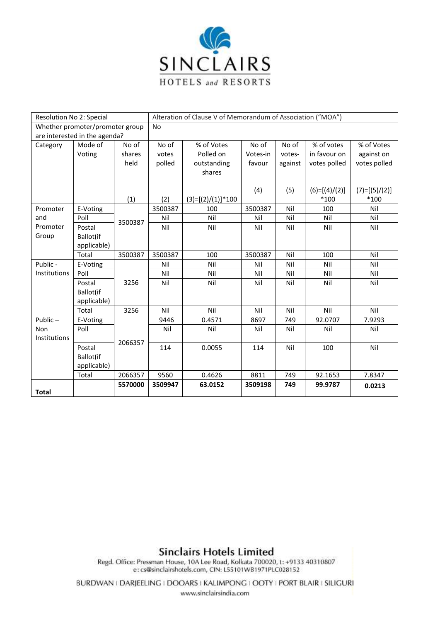

| Resolution No 2: Special        |             |         | Alteration of Clause V of Memorandum of Association ("MOA") |                     |          |         |                 |                 |
|---------------------------------|-------------|---------|-------------------------------------------------------------|---------------------|----------|---------|-----------------|-----------------|
| Whether promoter/promoter group |             |         | <b>No</b>                                                   |                     |          |         |                 |                 |
| are interested in the agenda?   |             |         |                                                             |                     |          |         |                 |                 |
| Category                        | Mode of     | No of   | No of                                                       | % of Votes          | No of    | No of   | % of votes      | % of Votes      |
|                                 | Voting      | shares  | votes                                                       | Polled on           | Votes-in | votes-  | in favour on    | against on      |
|                                 |             | held    | polled                                                      | outstanding         | favour   | against | votes polled    | votes polled    |
|                                 |             |         |                                                             | shares              |          |         |                 |                 |
|                                 |             |         |                                                             |                     |          |         |                 |                 |
|                                 |             |         |                                                             |                     | (4)      | (5)     | $(6)=[(4)/(2)]$ | $(7)=[(5)/(2)]$ |
|                                 |             | (1)     | (2)                                                         | $(3)=[(2)/(1)]*100$ |          |         | $*100$          | $*100$          |
| Promoter                        | E-Voting    |         | 3500387                                                     | 100                 | 3500387  | Nil     | 100             | Nil             |
| and                             | Poll        | 3500387 | Nil                                                         | Nil                 | Nil      | Nil     | Nil             | Nil             |
| Promoter                        | Postal      |         | Nil                                                         | Nil                 | Nil      | Nil     | Nil             | Nil             |
| Group                           | Ballot(if   |         |                                                             |                     |          |         |                 |                 |
|                                 | applicable) |         |                                                             |                     |          |         |                 |                 |
|                                 | Total       | 3500387 | 3500387                                                     | 100                 | 3500387  | Nil     | 100             | Nil             |
| Public -                        | E-Voting    |         | Nil                                                         | Nil                 | Nil      | Nil     | Nil             | Nil             |
| Institutions                    | Poll        |         | Nil                                                         | Nil                 | Nil      | Nil     | Nil             | Nil             |
|                                 | Postal      | 3256    | Nil                                                         | Nil                 | Nil      | Nil     | Nil             | Nil             |
|                                 | Ballot(if   |         |                                                             |                     |          |         |                 |                 |
|                                 | applicable) |         |                                                             |                     |          |         |                 |                 |
|                                 | Total       | 3256    | Nil                                                         | Nil                 | Nil      | Nil     | Nil             | Nil             |
| Public $-$                      | E-Voting    |         | 9446                                                        | 0.4571              | 8697     | 749     | 92.0707         | 7.9293          |
| <b>Non</b>                      | Poll        |         | Nil                                                         | Nil                 | Nil      | Nil     | Nil             | Nil             |
| Institutions                    |             | 2066357 |                                                             |                     |          |         |                 |                 |
|                                 | Postal      |         | 114                                                         | 0.0055              | 114      | Nil     | 100             | Nil             |
|                                 | Ballot(if   |         |                                                             |                     |          |         |                 |                 |
|                                 | applicable) |         |                                                             |                     |          |         |                 |                 |
|                                 | Total       | 2066357 | 9560                                                        | 0.4626              | 8811     | 749     | 92.1653         | 7.8347          |
|                                 |             | 5570000 | 3509947                                                     | 63.0152             | 3509198  | 749     | 99.9787         | 0.0213          |
| <b>Total</b>                    |             |         |                                                             |                     |          |         |                 |                 |

# **Sinclairs Hotels Limited**

Regd. Office: Pressman House, 10A Lee Road, Kolkata 700020, t: +9133 40310807 e: cs@sinclairshotels.com, CIN: L55101WB1971PLC028152

BURDWAN I DARJEELING I DOOARS I KALIMPONG I OOTY I PORT BLAIR I SILIGURI www.sinclairsindia.com